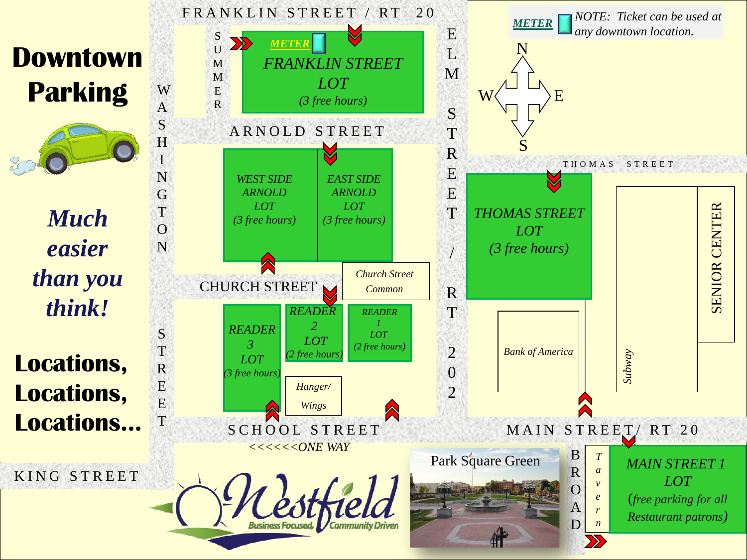